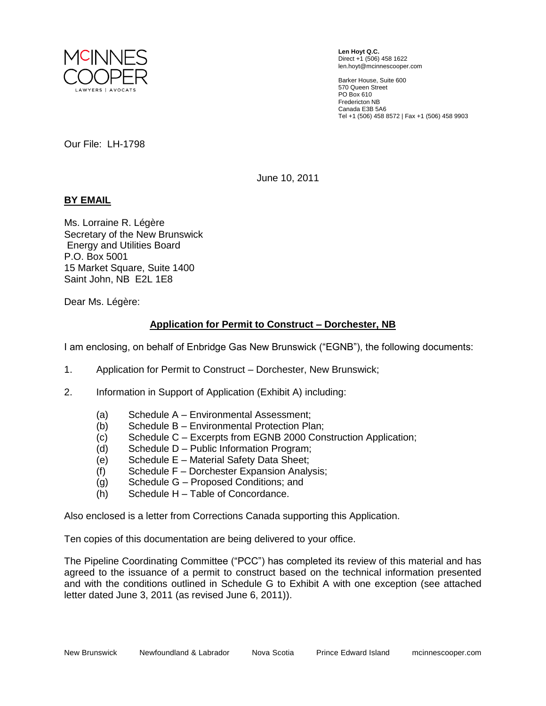

**Len Hoyt Q.C.** Direct +1 (506) 458 1622 len.hoyt@mcinnescooper.com

Barker House, Suite 600 570 Queen Street PO Box 610 Fredericton NB Canada E3B 5A6 Tel +1 (506) 458 8572 | Fax +1 (506) 458 9903

Our File: LH-1798

June 10, 2011

## **BY EMAIL**

Ms. Lorraine R. Légère Secretary of the New Brunswick Energy and Utilities Board P.O. Box 5001 15 Market Square, Suite 1400 Saint John, NB E2L 1E8

Dear Ms. Légère:

## **Application for Permit to Construct – Dorchester, NB**

I am enclosing, on behalf of Enbridge Gas New Brunswick ("EGNB"), the following documents:

- 1. Application for Permit to Construct Dorchester, New Brunswick;
- 2. Information in Support of Application (Exhibit A) including:
	- (a) Schedule A Environmental Assessment;
	- (b) Schedule B Environmental Protection Plan;
	- (c) Schedule C Excerpts from EGNB 2000 Construction Application;
	- (d) Schedule D Public Information Program;
	- (e) Schedule E Material Safety Data Sheet;
	- (f) Schedule F Dorchester Expansion Analysis;
	- (g) Schedule G Proposed Conditions; and
	- (h) Schedule H Table of Concordance.

Also enclosed is a letter from Corrections Canada supporting this Application.

Ten copies of this documentation are being delivered to your office.

The Pipeline Coordinating Committee ("PCC") has completed its review of this material and has agreed to the issuance of a permit to construct based on the technical information presented and with the conditions outlined in Schedule G to Exhibit A with one exception (see attached letter dated June 3, 2011 (as revised June 6, 2011)).